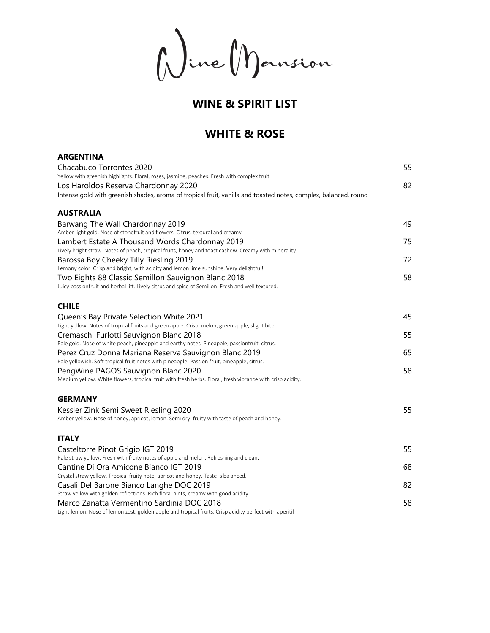Dine Monsion

# **WINE & SPIRIT LIST**

## **WHITE & ROSE**

| <b>ARGENTINA</b>                                                                                                |    |
|-----------------------------------------------------------------------------------------------------------------|----|
| Chacabuco Torrontes 2020                                                                                        | 55 |
| Yellow with greenish highlights. Floral, roses, jasmine, peaches. Fresh with complex fruit.                     |    |
| Los Haroldos Reserva Chardonnay 2020                                                                            | 82 |
| Intense gold with greenish shades, aroma of tropical fruit, vanilla and toasted notes, complex, balanced, round |    |
| <b>AUSTRALIA</b>                                                                                                |    |
| Barwang The Wall Chardonnay 2019                                                                                | 49 |
| Amber light gold. Nose of stonefruit and flowers. Citrus, textural and creamy.                                  |    |
| Lambert Estate A Thousand Words Chardonnay 2019                                                                 | 75 |
| Lively bright straw. Notes of peach, tropical fruits, honey and toast cashew. Creamy with minerality.           |    |
| Barossa Boy Cheeky Tilly Riesling 2019                                                                          | 72 |
| Lemony color. Crisp and bright, with acidity and lemon lime sunshine. Very delightful!                          |    |
| Two Eights 88 Classic Semillon Sauvignon Blanc 2018                                                             | 58 |
| Juicy passionfruit and herbal lift. Lively citrus and spice of Semillon. Fresh and well textured.               |    |
| <b>CHILE</b>                                                                                                    |    |
| Queen's Bay Private Selection White 2021                                                                        | 45 |
| Light yellow. Notes of tropical fruits and green apple. Crisp, melon, green apple, slight bite.                 |    |
| Cremaschi Furlotti Sauvignon Blanc 2018                                                                         | 55 |
| Pale gold. Nose of white peach, pineapple and earthy notes. Pineapple, passionfruit, citrus.                    |    |
| Perez Cruz Donna Mariana Reserva Sauvignon Blanc 2019                                                           | 65 |
| Pale yellowish. Soft tropical fruit notes with pineapple. Passion fruit, pineapple, citrus.                     |    |
| PengWine PAGOS Sauvignon Blanc 2020                                                                             | 58 |
| Medium yellow. White flowers, tropical fruit with fresh herbs. Floral, fresh vibrance with crisp acidity.       |    |
| <b>GERMANY</b>                                                                                                  |    |
| Kessler Zink Semi Sweet Riesling 2020                                                                           | 55 |
| Amber yellow. Nose of honey, apricot, lemon. Semi dry, fruity with taste of peach and honey.                    |    |
| <b>ITALY</b>                                                                                                    |    |
| Casteltorre Pinot Grigio IGT 2019                                                                               | 55 |
| Pale straw yellow. Fresh with fruity notes of apple and melon. Refreshing and clean.                            |    |
| Cantine Di Ora Amicone Bianco IGT 2019                                                                          | 68 |
| Crystal straw yellow. Tropical fruity note, apricot and honey. Taste is balanced.                               |    |
| Casali Del Barone Bianco Langhe DOC 2019                                                                        | 82 |
| Straw yellow with golden reflections. Rich floral hints, creamy with good acidity.                              |    |
| Marco Zanatta Vermentino Sardinia DOC 2018                                                                      | 58 |
| Light lemon. Nose of lemon zest, golden apple and tropical fruits. Crisp acidity perfect with aperitif          |    |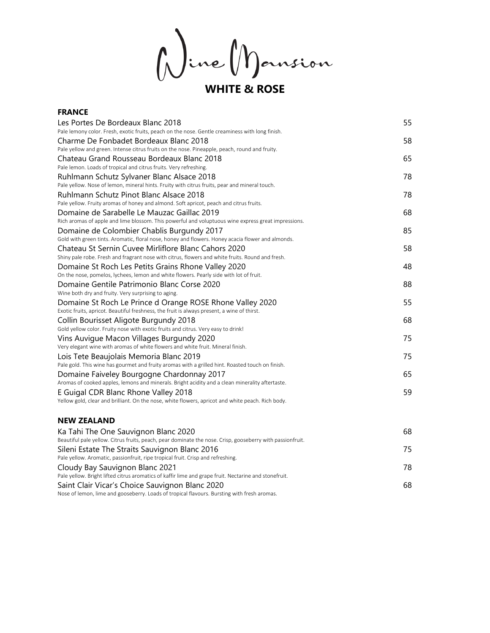**WHITE & ROSE**

#### **FRANCE**

| Les Portes De Bordeaux Blanc 2018                                                                         | 55 |
|-----------------------------------------------------------------------------------------------------------|----|
| Pale lemony color. Fresh, exotic fruits, peach on the nose. Gentle creaminess with long finish.           |    |
| Charme De Fonbadet Bordeaux Blanc 2018                                                                    | 58 |
| Pale yellow and green. Intense citrus fruits on the nose. Pineapple, peach, round and fruity.             |    |
| Chateau Grand Rousseau Bordeaux Blanc 2018                                                                | 65 |
| Pale lemon. Loads of tropical and citrus fruits. Very refreshing.                                         |    |
| Ruhlmann Schutz Sylvaner Blanc Alsace 2018                                                                | 78 |
| Pale yellow. Nose of lemon, mineral hints. Fruity with citrus fruits, pear and mineral touch.             |    |
| Ruhlmann Schutz Pinot Blanc Alsace 2018                                                                   | 78 |
| Pale yellow. Fruity aromas of honey and almond. Soft apricot, peach and citrus fruits.                    |    |
| Domaine de Sarabelle Le Mauzac Gaillac 2019                                                               | 68 |
| Rich aromas of apple and lime blossom. This powerful and voluptuous wine express great impressions.       |    |
| Domaine de Colombier Chablis Burgundy 2017                                                                | 85 |
| Gold with green tints. Aromatic, floral nose, honey and flowers. Honey acacia flower and almonds.         |    |
| Chateau St Sernin Cuvee Mirliflore Blanc Cahors 2020                                                      | 58 |
| Shiny pale robe. Fresh and fragrant nose with citrus, flowers and white fruits. Round and fresh.          |    |
| Domaine St Roch Les Petits Grains Rhone Valley 2020                                                       | 48 |
| On the nose, pomelos, lychees, lemon and white flowers. Pearly side with lot of fruit.                    |    |
| Domaine Gentile Patrimonio Blanc Corse 2020                                                               | 88 |
| Wine both dry and fruity. Very surprising to aging.                                                       |    |
| Domaine St Roch Le Prince d Orange ROSE Rhone Valley 2020                                                 | 55 |
| Exotic fruits, apricot. Beautiful freshness, the fruit is always present, a wine of thirst.               |    |
| Collin Bourisset Aligote Burgundy 2018                                                                    | 68 |
| Gold yellow color. Fruity nose with exotic fruits and citrus. Very easy to drink!                         |    |
| Vins Auvigue Macon Villages Burgundy 2020                                                                 | 75 |
| Very elegant wine with aromas of white flowers and white fruit. Mineral finish.                           |    |
| Lois Tete Beaujolais Memoria Blanc 2019                                                                   | 75 |
| Pale gold. This wine has gourmet and fruity aromas with a grilled hint. Roasted touch on finish.          |    |
| Domaine Faiveley Bourgogne Chardonnay 2017                                                                | 65 |
| Aromas of cooked apples, lemons and minerals. Bright acidity and a clean minerality aftertaste.           |    |
| E Guigal CDR Blanc Rhone Valley 2018                                                                      | 59 |
| Yellow gold, clear and brilliant. On the nose, white flowers, apricot and white peach. Rich body.         |    |
| <b>NEW ZEALAND</b>                                                                                        |    |
| Ka Tahi The One Sauvignon Blanc 2020                                                                      | 68 |
| Beautiful pale yellow. Citrus fruits, peach, pear dominate the nose. Crisp, gooseberry with passionfruit. |    |
| Sileni Estate The Straits Sauvignon Blanc 2016                                                            | 75 |
| Pale yellow. Aromatic, passionfruit, ripe tropical fruit. Crisp and refreshing.                           |    |
| Cloudy Bay Sauvignon Blanc 2021                                                                           | 78 |
| Pale yellow. Bright lifted citrus aromatics of kaffir lime and grape fruit. Nectarine and stonefruit.     |    |
| Saint Clair Vicar's Choice Sauvignon Blanc 2020                                                           | 68 |
|                                                                                                           |    |

Nose of lemon, lime and gooseberry. Loads of tropical flavours. Bursting with fresh aromas.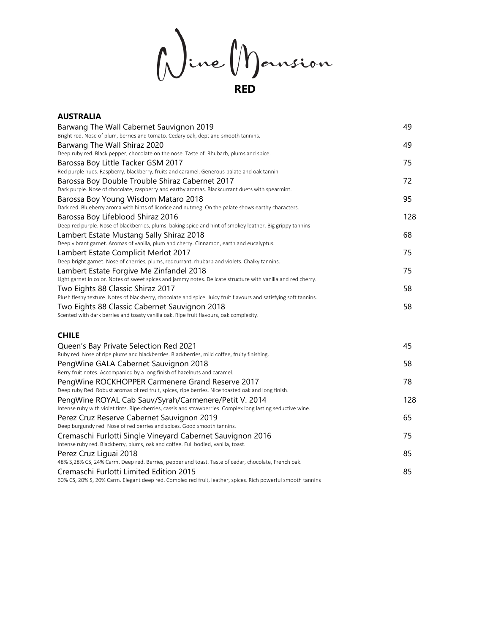$\bigwedge_{\sf RED}$ 

#### **AUSTRALIA**

| Barwang The Wall Cabernet Sauvignon 2019                                                                          | 49  |
|-------------------------------------------------------------------------------------------------------------------|-----|
| Bright red. Nose of plum, berries and tomato. Cedary oak, dept and smooth tannins.                                |     |
| Barwang The Wall Shiraz 2020                                                                                      | 49  |
| Deep ruby red. Black pepper, chocolate on the nose. Taste of. Rhubarb, plums and spice.                           |     |
| Barossa Boy Little Tacker GSM 2017                                                                                | 75  |
| Red purple hues. Raspberry, blackberry, fruits and caramel. Generous palate and oak tannin                        |     |
| Barossa Boy Double Trouble Shiraz Cabernet 2017                                                                   | 72  |
| Dark purple. Nose of chocolate, raspberry and earthy aromas. Blackcurrant duets with spearmint.                   |     |
| Barossa Boy Young Wisdom Mataro 2018                                                                              | 95  |
| Dark red. Blueberry aroma with hints of licorice and nutmeg. On the palate shows earthy characters.               |     |
| Barossa Boy Lifeblood Shiraz 2016                                                                                 | 128 |
| Deep red purple. Nose of blackberries, plums, baking spice and hint of smokey leather. Big grippy tannins         |     |
| Lambert Estate Mustang Sally Shiraz 2018                                                                          | 68  |
| Deep vibrant garnet. Aromas of vanilla, plum and cherry. Cinnamon, earth and eucalyptus.                          |     |
| Lambert Estate Complicit Merlot 2017                                                                              | 75  |
| Deep bright garnet. Nose of cherries, plums, redcurrant, rhubarb and violets. Chalky tannins.                     |     |
| Lambert Estate Forgive Me Zinfandel 2018                                                                          | 75  |
| Light garnet in color. Notes of sweet spices and jammy notes. Delicate structure with vanilla and red cherry.     |     |
| Two Eights 88 Classic Shiraz 2017                                                                                 | 58  |
| Plush fleshy texture. Notes of blackberry, chocolate and spice. Juicy fruit flavours and satisfying soft tannins. |     |
| Two Eights 88 Classic Cabernet Sauvignon 2018                                                                     | 58  |
| Scented with dark berries and toasty vanilla oak. Ripe fruit flavours, oak complexity.                            |     |
| <b>CHILE</b>                                                                                                      |     |
| Queen's Bay Private Selection Red 2021                                                                            | 45  |
| Ruby red. Nose of ripe plums and blackberries. Blackberries, mild coffee, fruity finishing.                       |     |
| PengWine GALA Cabernet Sauvignon 2018                                                                             | 58  |
| Berry fruit notes. Accompanied by a long finish of hazelnuts and caramel.                                         |     |
| PengWine ROCKHOPPER Carmenere Grand Reserve 2017                                                                  | 78  |
| Deep ruby Red. Robust aromas of red fruit, spices, ripe berries. Nice toasted oak and long finish.                |     |
| PengWine ROYAL Cab Sauv/Syrah/Carmenere/Petit V. 2014                                                             | 128 |
| Intense ruby with violet tints. Ripe cherries, cassis and strawberries. Complex long lasting seductive wine.      |     |
| Perez Cruz Reserve Cabernet Sauvignon 2019                                                                        | 65  |
| Deep burgundy red. Nose of red berries and spices. Good smooth tannins.                                           |     |
| Cremaschi Furlotti Single Vineyard Cabernet Sauvignon 2016                                                        | 75  |
| Intense ruby red. Blackberry, plums, oak and coffee. Full bodied, vanilla, toast.                                 |     |

Perez Cruz Liguai 2018 **85** 

Cremaschi Furlotti Limited Edition 2015 85 60% CS, 20% S, 20% Carm. Elegant deep red. Complex red fruit, leather, spices. Rich powerful smooth tannins

48% S,28% CS, 24% Carm. Deep red. Berries, pepper and toast. Taste of cedar, chocolate, French oak.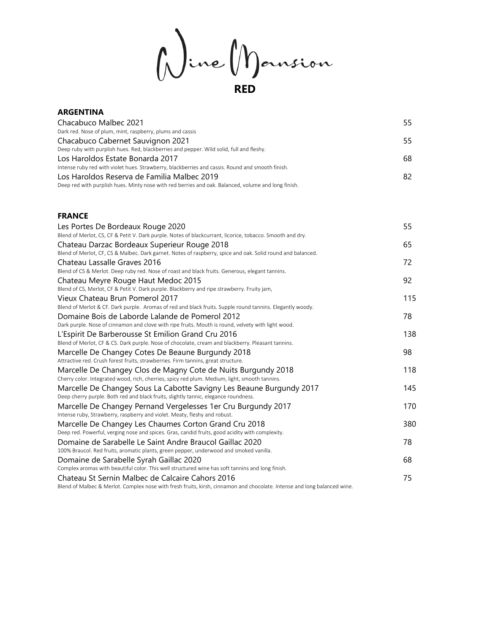**RED**

#### **ARGENTINA**

| Chacabuco Malbec 2021                                                                               | 55. |
|-----------------------------------------------------------------------------------------------------|-----|
| Dark red. Nose of plum, mint, raspberry, plums and cassis                                           |     |
| Chacabuco Cabernet Sauvignon 2021                                                                   | 55. |
| Deep ruby with purplish hues. Red, blackberries and pepper. Wild solid, full and fleshy.            |     |
| Los Haroldos Estate Bonarda 2017                                                                    | 68  |
| Intense ruby red with violet hues. Strawberry, blackberries and cassis. Round and smooth finish.    |     |
| Los Haroldos Reserva de Familia Malbec 2019                                                         | 82. |
| Deep red with purplish hues. Minty nose with red berries and oak. Balanced, volume and long finish. |     |

### **FRANCE**

| Les Portes De Bordeaux Rouge 2020<br>Blend of Merlot, CS, CF & Petit V. Dark purple. Notes of blackcurrant, licorice, tobacco. Smooth and dry.                                                                                              | 55  |
|---------------------------------------------------------------------------------------------------------------------------------------------------------------------------------------------------------------------------------------------|-----|
| Chateau Darzac Bordeaux Superieur Rouge 2018<br>Blend of Merlot, CF, CS & Malbec. Dark garnet. Notes of raspberry, spice and oak. Solid round and balanced.                                                                                 | 65  |
| Chateau Lassalle Graves 2016                                                                                                                                                                                                                | 72  |
| Blend of CS & Merlot. Deep ruby red. Nose of roast and black fruits. Generous, elegant tannins.<br>Chateau Meyre Rouge Haut Medoc 2015                                                                                                      | 92  |
| Blend of CS, Merlot, CF & Petit V. Dark purple. Blackberry and ripe strawberry. Fruity jam,<br>Vieux Chateau Brun Pomerol 2017<br>Blend of Merlot & CF. Dark purple. Aromas of red and black fruits. Supple round tannins. Elegantly woody. | 115 |
| Domaine Bois de Laborde Lalande de Pomerol 2012<br>Dark purple. Nose of cinnamon and clove with ripe fruits. Mouth is round, velvety with light wood.                                                                                       | 78  |
| L'Espirit De Barberousse St Emilion Grand Cru 2016<br>Blend of Merlot, CF & CS. Dark purple. Nose of chocolate, cream and blackberry. Pleasant tannins.                                                                                     | 138 |
| Marcelle De Changey Cotes De Beaune Burgundy 2018<br>Attractive red. Crush forest fruits, strawberries. Firm tannins, great structure.                                                                                                      | 98  |
| Marcelle De Changey Clos de Magny Cote de Nuits Burgundy 2018<br>Cherry color. Integrated wood, rich, cherries, spicy red plum. Medium, light, smooth tannins.                                                                              | 118 |
| Marcelle De Changey Sous La Cabotte Savigny Les Beaune Burgundy 2017<br>Deep cherry purple. Both red and black fruits, slightly tannic, elegance roundness.                                                                                 | 145 |
| Marcelle De Changey Pernand Vergelesses 1er Cru Burgundy 2017<br>Intense ruby, Strawberry, raspberry and violet. Meaty, fleshy and robust.                                                                                                  | 170 |
| Marcelle De Changey Les Chaumes Corton Grand Cru 2018<br>Deep red. Powerful, verging nose and spices. Gras, candid fruits, good acidity with complexity.                                                                                    | 380 |
| Domaine de Sarabelle Le Saint Andre Braucol Gaillac 2020<br>100% Braucol. Red fruits, aromatic plants, green pepper, underwood and smoked vanilla.                                                                                          | 78  |
| Domaine de Sarabelle Syrah Gaillac 2020<br>Complex aromas with beautiful color. This well structured wine has soft tannins and long finish.                                                                                                 | 68  |
| Chateau St Sernin Malbec de Calcaire Cahors 2016<br>Blend of Malbec & Merlot. Complex nose with fresh fruits, kirsh, cinnamon and chocolate. Intense and long balanced wine.                                                                | 75  |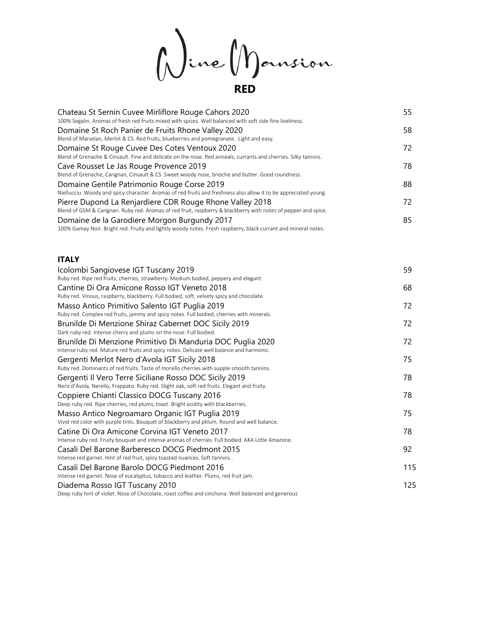**RED**

| Chateau St Sernin Cuvee Mirliflore Rouge Cahors 2020<br>100% Segalin. Aromas of fresh red fruits mixed with spices. Well balanced with soft side fine liveliness.          | 55 |
|----------------------------------------------------------------------------------------------------------------------------------------------------------------------------|----|
| Domaine St Roch Panier de Fruits Rhone Valley 2020<br>Blend of Marselan, Merlot & CS. Red fruits, blueberries and pomegranate. Light and easy.                             | 58 |
| Domaine St Rouge Cuvee Des Cotes Ventoux 2020<br>Blend of Grenache & Cinsault. Fine and delicate on the nose. Red anneals, currants and cherries. Silky tannins.           | 72 |
| Cave Rousset Le Jas Rouge Provence 2019<br>Blend of Grenache, Carignan, Cinsault & CS. Sweet woody nose, brioche and butter. Good roundness.                               | 78 |
| Domaine Gentile Patrimonio Rouge Corse 2019<br>Niellucciu. Woody and spicy character. Aromas of red fruits and freshness also allow it to be appreciated young.            | 88 |
| Pierre Dupond La Renjardiere CDR Rouge Rhone Valley 2018<br>Blend of GSM & Carignan. Ruby red. Aromas of red fruit, raspberry & blackberry with notes of pepper and spice. | 72 |
| Domaine de la Garodiere Morgon Burgundy 2017<br>100% Gamay Noir. Bright red. Fruity and lightly woody notes. Fresh raspberry, black currant and mineral notes.             | 85 |

### **ITALY**

| Icolombi Sangiovese IGT Tuscany 2019<br>Ruby red. Ripe red fruits, cherries, strawberry. Medium bodied, peppery and elegant. | 59  |
|------------------------------------------------------------------------------------------------------------------------------|-----|
| Cantine Di Ora Amicone Rosso IGT Veneto 2018                                                                                 | 68  |
| Ruby red. Vinous, raspberry, blackberry. Full bodied, soft, velvety spicy and chocolate.                                     |     |
| Masso Antico Primitivo Salento IGT Puglia 2019                                                                               | 72  |
| Ruby red. Complex red fruits, jammy and spicy notes. Full bodied, cherries with minerals.                                    |     |
| Brunilde Di Menzione Shiraz Cabernet DOC Sicily 2019                                                                         | 72  |
| Dark ruby red. Intense cherry and plums on the nose. Full bodied.                                                            |     |
| Brunilde Di Menzione Primitivo Di Manduria DOC Puglia 2020                                                                   | 72  |
| Intense ruby red. Mature red fruits and spicy notes. Delicate well balance and harmonic.                                     |     |
| Gergenti Merlot Nero d'Avola IGT Sicily 2018                                                                                 | 75  |
| Ruby red. Dominants of red fruits. Taste of morello cherries with supple smooth tannins.                                     |     |
| Gergenti Il Vero Terre Siciliane Rosso DOC Sicily 2019                                                                       | 78  |
| Nero d'Avola, Nerello, Frappato. Ruby red. Slight oak, soft red fruits. Elegant and fruity.                                  |     |
| Coppiere Chianti Classico DOCG Tuscany 2016                                                                                  | 78  |
| Deep ruby red. Ripe cherries, red plums, toast. Bright acidity with blackberries.                                            |     |
| Masso Antico Negroamaro Organic IGT Puglia 2019                                                                              | 75  |
| Vivid red color with purple tints. Bouquet of blackberry and pklum. Round and well balance.                                  |     |
| Catine Di Ora Amicone Corvina IGT Veneto 2017                                                                                | 78  |
| Intense ruby red. Fruity bouquet and intense aromas of cherries. Full bodied. AKA Little Amarone.                            |     |
| Casali Del Barone Barberesco DOCG Piedmont 2015                                                                              | 92  |
| Intense red garnet. Hint of red fruit, spicy toasted nuances. Soft tannins                                                   |     |
| Casali Del Barone Barolo DOCG Piedmont 2016                                                                                  | 115 |
| Intense red garnet. Nose of eucalyptus, tobacco and leather. Plums, red fruit jam.                                           |     |
| Diadema Rosso IGT Tuscany 2010                                                                                               | 125 |
| Deep ruby hint of violet. Nose of Chocolate, roast coffee and cinchona. Well balanced and generous                           |     |
|                                                                                                                              |     |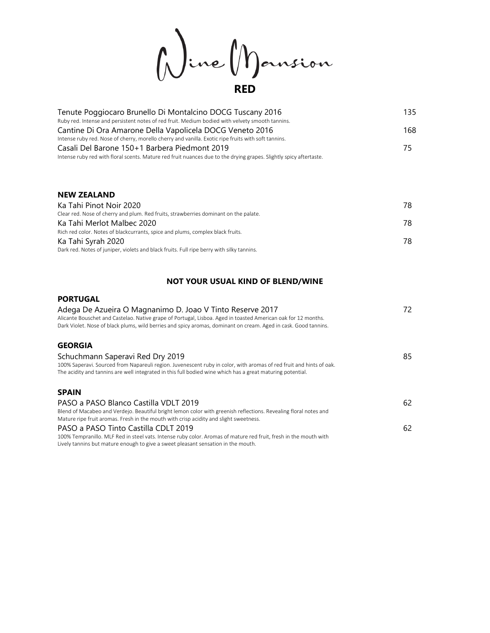**RED**

| Tenute Poggiocaro Brunello Di Montalcino DOCG Tuscany 2016<br>Ruby red. Intense and persistent notes of red fruit. Medium bodied with velvety smooth tannins. | 135 |
|---------------------------------------------------------------------------------------------------------------------------------------------------------------|-----|
| Cantine Di Ora Amarone Della Vapolicela DOCG Veneto 2016                                                                                                      | 168 |
| Intense ruby red. Nose of cherry, morello cherry and vanilla. Exotic ripe fruits with soft tannins.                                                           |     |
| Casali Del Barone 150+1 Barbera Piedmont 2019                                                                                                                 | 75. |
| Intense ruby red with floral scents. Mature red fruit nuances due to the drying grapes. Slightly spicy aftertaste.                                            |     |

#### **NEW ZEALAND**

| Ka Tahi Pinot Noir 2020                                                                   | 78 |
|-------------------------------------------------------------------------------------------|----|
| Clear red. Nose of cherry and plum. Red fruits, strawberries dominant on the palate.      |    |
| Ka Tahi Merlot Malbec 2020                                                                | 78 |
| Rich red color. Notes of blackcurrants, spice and plums, complex black fruits.            |    |
| Ka Tahi Syrah 2020                                                                        | 78 |
| Dark red. Notes of juniper, violets and black fruits. Full ripe berry with silky tannins. |    |

### **NOT YOUR USUAL KIND OF BLEND/WINE**

#### **PORTUGAL**

| Adega De Azueira O Magnanimo D. Joao V Tinto Reserve 2017<br>Alicante Bouschet and Castelao. Native grape of Portugal, Lisboa. Aged in toasted American oak for 12 months.<br>Dark Violet. Nose of black plums, wild berries and spicy aromas, dominant on cream. Aged in cask. Good tannins. |    |
|-----------------------------------------------------------------------------------------------------------------------------------------------------------------------------------------------------------------------------------------------------------------------------------------------|----|
| <b>GEORGIA</b>                                                                                                                                                                                                                                                                                |    |
| Schuchmann Saperavi Red Dry 2019                                                                                                                                                                                                                                                              | 85 |
| 100% Saperavi. Sourced from Napareuli region. Juvenescent ruby in color, with aromas of red fruit and hints of oak.                                                                                                                                                                           |    |
| The acidity and tannins are well integrated in this full bodied wine which has a great maturing potential.                                                                                                                                                                                    |    |
| <b>SPAIN</b>                                                                                                                                                                                                                                                                                  |    |
| PASO a PASO Blanco Castilla VDLT 2019                                                                                                                                                                                                                                                         | 62 |
| Blend of Macabeo and Verdejo. Beautiful bright lemon color with greenish reflections. Revealing floral notes and                                                                                                                                                                              |    |
| Mature ripe fruit aromas. Fresh in the mouth with crisp acidity and slight sweetness.                                                                                                                                                                                                         |    |
| PASO a PASO Tinto Castilla CDLT 2019                                                                                                                                                                                                                                                          | 62 |
| 100% Tempranillo. MLF Red in steel vats. Intense ruby color. Aromas of mature red fruit, fresh in the mouth with                                                                                                                                                                              |    |
| Lively tannins but mature enough to give a sweet pleasant sensation in the mouth.                                                                                                                                                                                                             |    |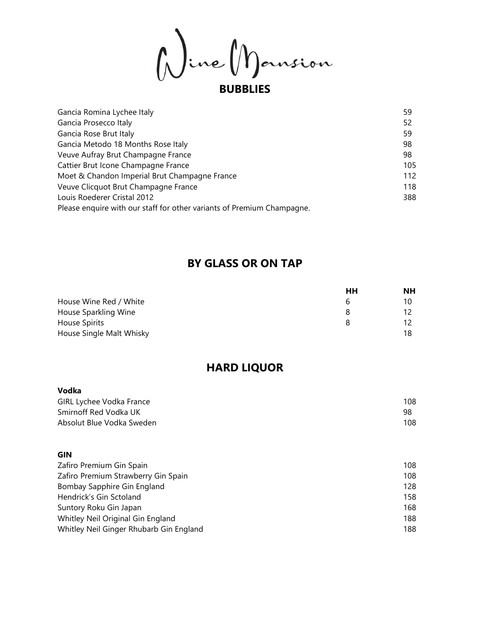**BUBBLIES**

| Gancia Romina Lychee Italy                                             | 59  |
|------------------------------------------------------------------------|-----|
| Gancia Prosecco Italy                                                  | 52  |
| Gancia Rose Brut Italy                                                 | 59  |
| Gancia Metodo 18 Months Rose Italy                                     | 98  |
| Veuve Aufray Brut Champagne France                                     | 98  |
| Cattier Brut Icone Champagne France                                    | 105 |
| Moet & Chandon Imperial Brut Champagne France                          | 112 |
| Veuve Clicquot Brut Champagne France                                   | 118 |
| Louis Roederer Cristal 2012                                            | 388 |
| Please enquire with our staff for other variants of Premium Champagne. |     |

## **BY GLASS OR ON TAP**

|                          | HН | <b>NH</b> |
|--------------------------|----|-----------|
| House Wine Red / White   | b  |           |
| House Sparkling Wine     | я  |           |
| House Spirits            |    |           |
| House Single Malt Whisky |    | 18        |

## **HARD LIQUOR**

| Vodka                     |     |
|---------------------------|-----|
| GIRL Lychee Vodka France  | 108 |
| Smirnoff Red Vodka UK     | -98 |
| Absolut Blue Vodka Sweden | 108 |

### **GIN**

| Zafiro Premium Gin Spain                | 108 |
|-----------------------------------------|-----|
| Zafiro Premium Strawberry Gin Spain     | 108 |
| Bombay Sapphire Gin England             | 128 |
| Hendrick's Gin Sctoland                 | 158 |
| Suntory Roku Gin Japan                  | 168 |
| Whitley Neil Original Gin England       | 188 |
| Whitley Neil Ginger Rhubarb Gin England | 188 |